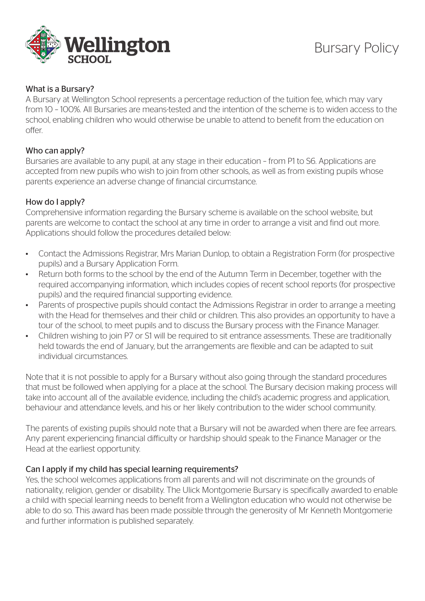

### What is a Bursary?

A Bursary at Wellington School represents a percentage reduction of the tuition fee, which may vary from 10 – 100%. All Bursaries are means-tested and the intention of the scheme is to widen access to the school, enabling children who would otherwise be unable to attend to benefit from the education on offer.

#### Who can apply?

Bursaries are available to any pupil, at any stage in their education – from P1 to S6. Applications are accepted from new pupils who wish to join from other schools, as well as from existing pupils whose parents experience an adverse change of financial circumstance.

## How do I apply?

Comprehensive information regarding the Bursary scheme is available on the school website, but parents are welcome to contact the school at any time in order to arrange a visit and find out more. Applications should follow the procedures detailed below:

- Contact the Admissions Registrar, Mrs Marian Dunlop, to obtain a Registration Form (for prospective pupils) and a Bursary Application Form.
- Return both forms to the school by the end of the Autumn Term in December, together with the required accompanying information, which includes copies of recent school reports (for prospective pupils) and the required financial supporting evidence.
- Parents of prospective pupils should contact the Admissions Registrar in order to arrange a meeting with the Head for themselves and their child or children. This also provides an opportunity to have a tour of the school, to meet pupils and to discuss the Bursary process with the Finance Manager.
- Children wishing to join P7 or S1 will be required to sit entrance assessments. These are traditionally held towards the end of January, but the arrangements are flexible and can be adapted to suit individual circumstances.

Note that it is not possible to apply for a Bursary without also going through the standard procedures that must be followed when applying for a place at the school. The Bursary decision making process will take into account all of the available evidence, including the child's academic progress and application, behaviour and attendance levels, and his or her likely contribution to the wider school community.

The parents of existing pupils should note that a Bursary will not be awarded when there are fee arrears. Any parent experiencing financial difficulty or hardship should speak to the Finance Manager or the Head at the earliest opportunity.

#### Can I apply if my child has special learning requirements?

Yes, the school welcomes applications from all parents and will not discriminate on the grounds of nationality, religion, gender or disability. The Ulick Montgomerie Bursary is specifically awarded to enable a child with special learning needs to benefit from a Wellington education who would not otherwise be able to do so. This award has been made possible through the generosity of Mr Kenneth Montgomerie and further information is published separately.